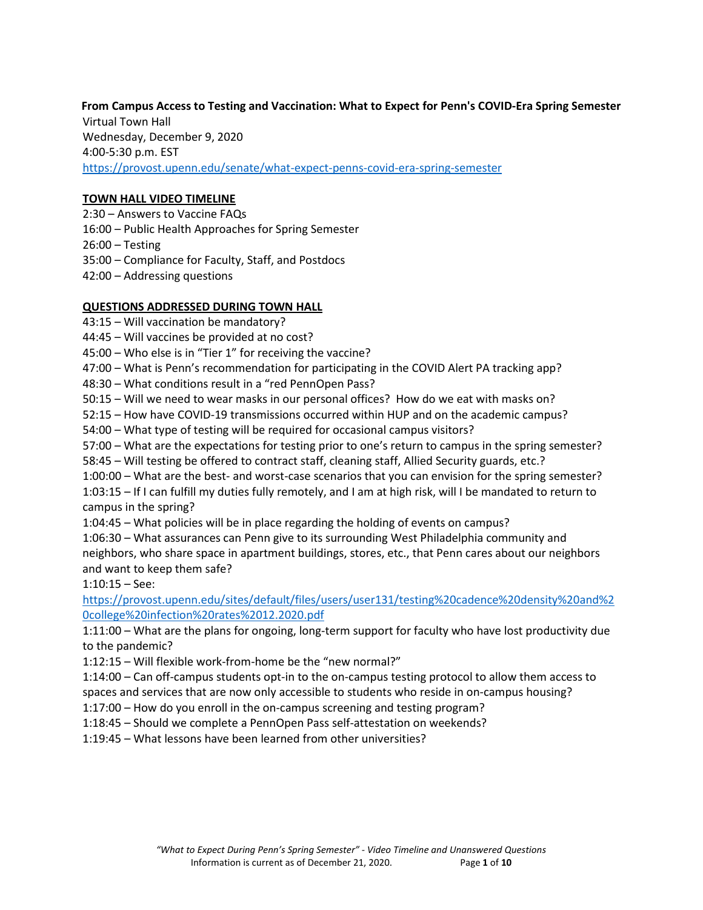**From Campus Access to Testing and Vaccination: What to Expect for Penn's COVID-Era Spring Semester** Virtual Town Hall Wednesday, December 9, 2020 4:00-5:30 p.m. EST <https://provost.upenn.edu/senate/what-expect-penns-covid-era-spring-semester>

### **TOWN HALL VIDEO TIMELINE**

- 2:30 Answers to Vaccine FAQs
- 16:00 Public Health Approaches for Spring Semester
- 26:00 Testing
- 35:00 Compliance for Faculty, Staff, and Postdocs
- 42:00 Addressing questions

## **QUESTIONS ADDRESSED DURING TOWN HALL**

- 43:15 Will vaccination be mandatory?
- 44:45 Will vaccines be provided at no cost?
- 45:00 Who else is in "Tier 1" for receiving the vaccine?
- 47:00 What is Penn's recommendation for participating in the COVID Alert PA tracking app?
- 48:30 What conditions result in a "red PennOpen Pass?
- 50:15 Will we need to wear masks in our personal offices? How do we eat with masks on?
- 52:15 How have COVID-19 transmissions occurred within HUP and on the academic campus?
- 54:00 What type of testing will be required for occasional campus visitors?
- 57:00 What are the expectations for testing prior to one's return to campus in the spring semester?
- 58:45 Will testing be offered to contract staff, cleaning staff, Allied Security guards, etc.?
- 1:00:00 What are the best- and worst-case scenarios that you can envision for the spring semester?
- 1:03:15 If I can fulfill my duties fully remotely, and I am at high risk, will I be mandated to return to campus in the spring?
- 1:04:45 What policies will be in place regarding the holding of events on campus?

1:06:30 – What assurances can Penn give to its surrounding West Philadelphia community and neighbors, who share space in apartment buildings, stores, etc., that Penn cares about our neighbors and want to keep them safe?

1:10:15 – See:

[https://provost.upenn.edu/sites/default/files/users/user131/testing%20cadence%20density%20and%2](https://provost.upenn.edu/sites/default/files/users/user131/testing%20cadence%20density%20and%20college%20infection%20rates%2012.2020.pdf) [0college%20infection%20rates%2012.2020.pdf](https://provost.upenn.edu/sites/default/files/users/user131/testing%20cadence%20density%20and%20college%20infection%20rates%2012.2020.pdf)

- 1:11:00 What are the plans for ongoing, long-term support for faculty who have lost productivity due to the pandemic?
- 1:12:15 Will flexible work-from-home be the "new normal?"
- 1:14:00 Can off-campus students opt-in to the on-campus testing protocol to allow them access to spaces and services that are now only accessible to students who reside in on-campus housing?
- 1:17:00 How do you enroll in the on-campus screening and testing program?
- 1:18:45 Should we complete a PennOpen Pass self-attestation on weekends?
- 1:19:45 What lessons have been learned from other universities?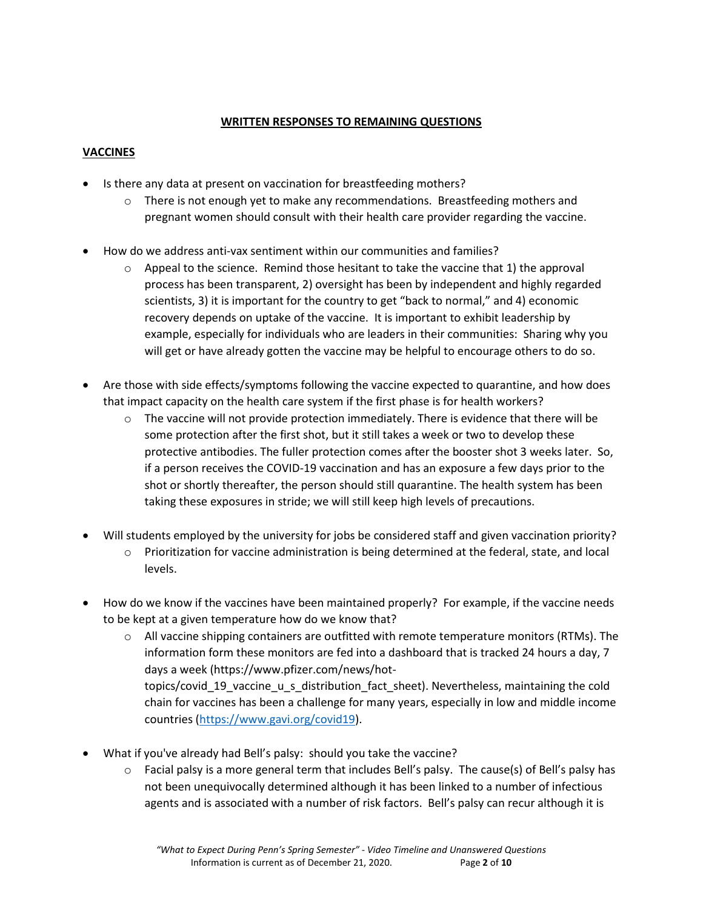## **WRITTEN RESPONSES TO REMAINING QUESTIONS**

# **VACCINES**

- Is there any data at present on vaccination for breastfeeding mothers?
	- $\circ$  There is not enough yet to make any recommendations. Breastfeeding mothers and pregnant women should consult with their health care provider regarding the vaccine.
- How do we address anti-vax sentiment within our communities and families?
	- $\circ$  Appeal to the science. Remind those hesitant to take the vaccine that 1) the approval process has been transparent, 2) oversight has been by independent and highly regarded scientists, 3) it is important for the country to get "back to normal," and 4) economic recovery depends on uptake of the vaccine. It is important to exhibit leadership by example, especially for individuals who are leaders in their communities: Sharing why you will get or have already gotten the vaccine may be helpful to encourage others to do so.
- Are those with side effects/symptoms following the vaccine expected to quarantine, and how does that impact capacity on the health care system if the first phase is for health workers?
	- $\circ$  The vaccine will not provide protection immediately. There is evidence that there will be some protection after the first shot, but it still takes a week or two to develop these protective antibodies. The fuller protection comes after the booster shot 3 weeks later. So, if a person receives the COVID-19 vaccination and has an exposure a few days prior to the shot or shortly thereafter, the person should still quarantine. The health system has been taking these exposures in stride; we will still keep high levels of precautions.
- Will students employed by the university for jobs be considered staff and given vaccination priority?
	- $\circ$  Prioritization for vaccine administration is being determined at the federal, state, and local levels.
- How do we know if the vaccines have been maintained properly? For example, if the vaccine needs to be kept at a given temperature how do we know that?
	- $\circ$  All vaccine shipping containers are outfitted with remote temperature monitors (RTMs). The information form these monitors are fed into a dashboard that is tracked 24 hours a day, 7 days a week [\(https://www.pfizer.com/news/hot](https://www.pfizer.com/news/hot-topics/covid_19_vaccine_u_s_distribution_fact_sheet)[topics/covid\\_19\\_vaccine\\_u\\_s\\_distribution\\_fact\\_sheet\)](https://www.pfizer.com/news/hot-topics/covid_19_vaccine_u_s_distribution_fact_sheet). Nevertheless, maintaining the cold chain for vaccines has been a challenge for many years, especially in low and middle income countries [\(https://www.gavi.org/covid19\)](https://www.gavi.org/covid19).
- What if you've already had Bell's palsy: should you take the vaccine?
	- o Facial palsy is a more general term that includes Bell's palsy. The cause(s) of Bell's palsy has not been unequivocally determined although it has been linked to a number of infectious agents and is associated with a number of risk factors. Bell's palsy can recur although it is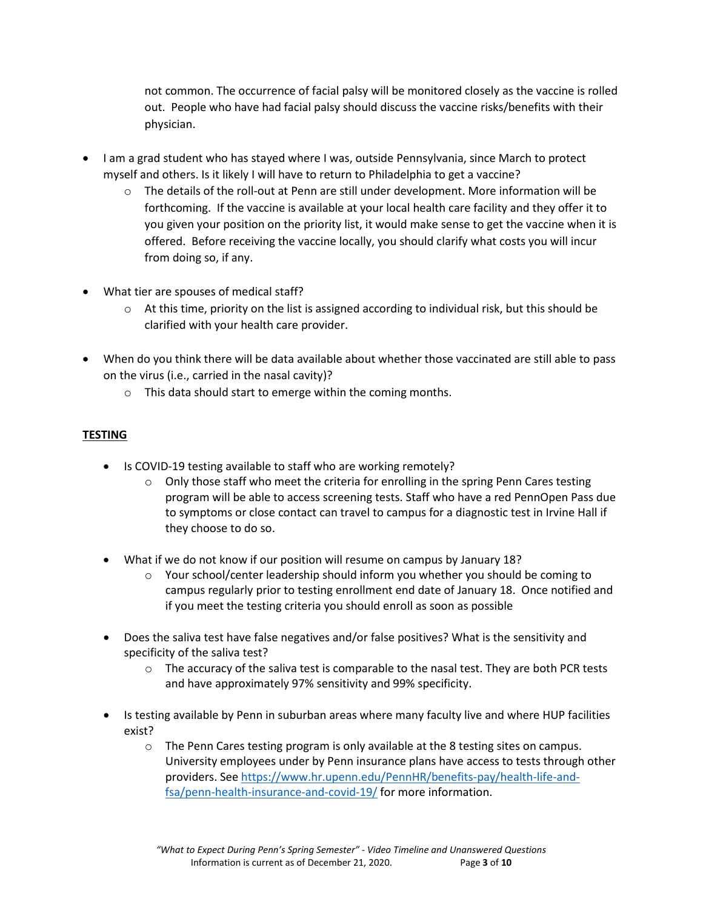not common. The occurrence of facial palsy will be monitored closely as the vaccine is rolled out. People who have had facial palsy should discuss the vaccine risks/benefits with their physician.

- I am a grad student who has stayed where I was, outside Pennsylvania, since March to protect myself and others. Is it likely I will have to return to Philadelphia to get a vaccine?
	- $\circ$  The details of the roll-out at Penn are still under development. More information will be forthcoming. If the vaccine is available at your local health care facility and they offer it to you given your position on the priority list, it would make sense to get the vaccine when it is offered. Before receiving the vaccine locally, you should clarify what costs you will incur from doing so, if any.
- What tier are spouses of medical staff?
	- $\circ$  At this time, priority on the list is assigned according to individual risk, but this should be clarified with your health care provider.
- When do you think there will be data available about whether those vaccinated are still able to pass on the virus (i.e., carried in the nasal cavity)?
	- o This data should start to emerge within the coming months.

# **TESTING**

- Is COVID-19 testing available to staff who are working remotely?
	- $\circ$  Only those staff who meet the criteria for enrolling in the spring Penn Cares testing program will be able to access screening tests. Staff who have a red PennOpen Pass due to symptoms or close contact can travel to campus for a diagnostic test in Irvine Hall if they choose to do so.
- What if we do not know if our position will resume on campus by January 18?
	- o Your school/center leadership should inform you whether you should be coming to campus regularly prior to testing enrollment end date of January 18. Once notified and if you meet the testing criteria you should enroll as soon as possible
- Does the saliva test have false negatives and/or false positives? What is the sensitivity and specificity of the saliva test?
	- $\circ$  The accuracy of the saliva test is comparable to the nasal test. They are both PCR tests and have approximately 97% sensitivity and 99% specificity.
- Is testing available by Penn in suburban areas where many faculty live and where HUP facilities exist?
	- $\circ$  The Penn Cares testing program is only available at the 8 testing sites on campus. University employees under by Penn insurance plans have access to tests through other providers. See [https://www.hr.upenn.edu/PennHR/benefits-pay/health-life-and](https://www.hr.upenn.edu/PennHR/benefits-pay/health-life-and-fsa/penn-health-insurance-and-covid-19/)[fsa/penn-health-insurance-and-covid-19/](https://www.hr.upenn.edu/PennHR/benefits-pay/health-life-and-fsa/penn-health-insurance-and-covid-19/) for more information.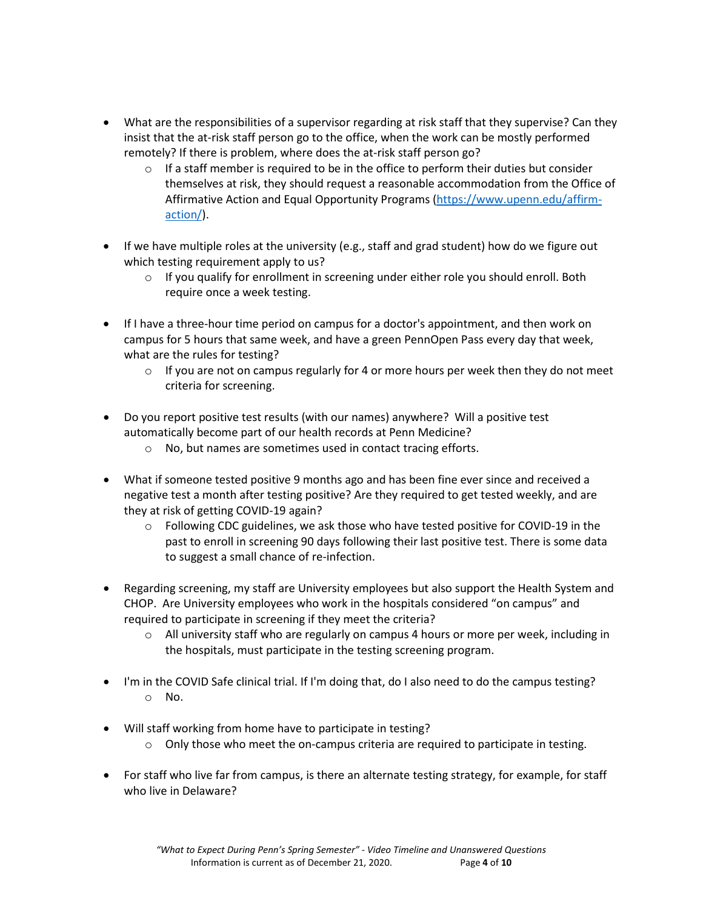- What are the responsibilities of a supervisor regarding at risk staff that they supervise? Can they insist that the at-risk staff person go to the office, when the work can be mostly performed remotely? If there is problem, where does the at-risk staff person go?
	- $\circ$  If a staff member is required to be in the office to perform their duties but consider themselves at risk, they should request a reasonable accommodation from the Office of Affirmative Action and Equal Opportunity Programs [\(https://www.upenn.edu/affirm](https://www.upenn.edu/affirm-action/)[action/\)](https://www.upenn.edu/affirm-action/).
- If we have multiple roles at the university (e.g., staff and grad student) how do we figure out which testing requirement apply to us?
	- $\circ$  If you qualify for enrollment in screening under either role you should enroll. Both require once a week testing.
- If I have a three-hour time period on campus for a doctor's appointment, and then work on campus for 5 hours that same week, and have a green PennOpen Pass every day that week, what are the rules for testing?
	- $\circ$  If you are not on campus regularly for 4 or more hours per week then they do not meet criteria for screening.
- Do you report positive test results (with our names) anywhere? Will a positive test automatically become part of our health records at Penn Medicine?
	- o No, but names are sometimes used in contact tracing efforts.
- What if someone tested positive 9 months ago and has been fine ever since and received a negative test a month after testing positive? Are they required to get tested weekly, and are they at risk of getting COVID-19 again?
	- $\circ$  Following CDC guidelines, we ask those who have tested positive for COVID-19 in the past to enroll in screening 90 days following their last positive test. There is some data to suggest a small chance of re-infection.
- Regarding screening, my staff are University employees but also support the Health System and CHOP. Are University employees who work in the hospitals considered "on campus" and required to participate in screening if they meet the criteria?
	- $\circ$  All university staff who are regularly on campus 4 hours or more per week, including in the hospitals, must participate in the testing screening program.
- I'm in the COVID Safe clinical trial. If I'm doing that, do I also need to do the campus testing? o No.
- Will staff working from home have to participate in testing?
	- $\circ$  Only those who meet the on-campus criteria are required to participate in testing.
- For staff who live far from campus, is there an alternate testing strategy, for example, for staff who live in Delaware?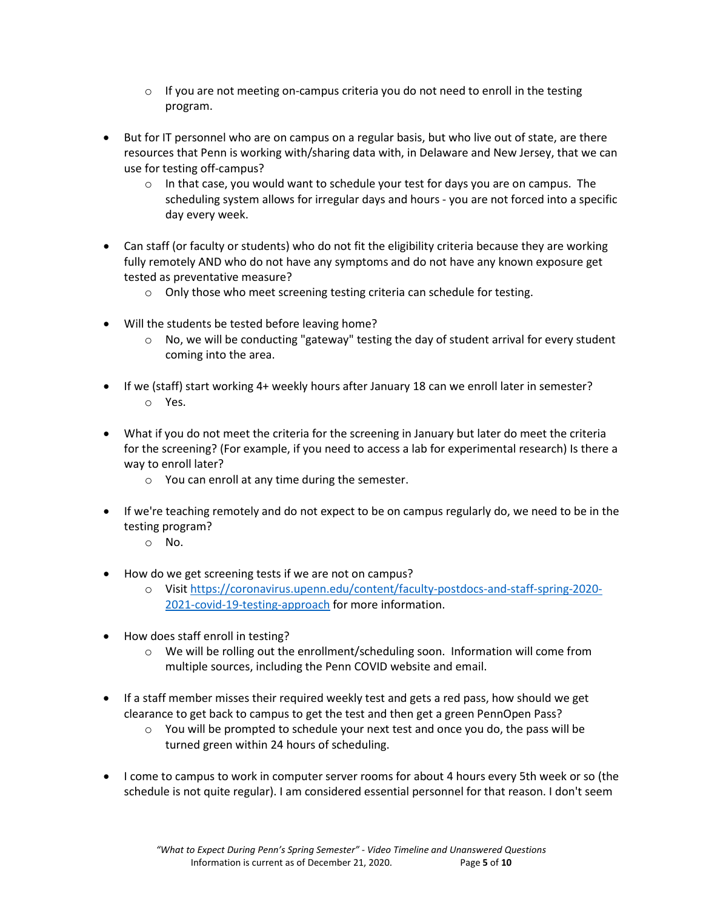- $\circ$  If you are not meeting on-campus criteria you do not need to enroll in the testing program.
- But for IT personnel who are on campus on a regular basis, but who live out of state, are there resources that Penn is working with/sharing data with, in Delaware and New Jersey, that we can use for testing off-campus?
	- $\circ$  In that case, you would want to schedule your test for days you are on campus. The scheduling system allows for irregular days and hours - you are not forced into a specific day every week.
- Can staff (or faculty or students) who do not fit the eligibility criteria because they are working fully remotely AND who do not have any symptoms and do not have any known exposure get tested as preventative measure?
	- o Only those who meet screening testing criteria can schedule for testing.
- Will the students be tested before leaving home?
	- o No, we will be conducting "gateway" testing the day of student arrival for every student coming into the area.
- If we (staff) start working 4+ weekly hours after January 18 can we enroll later in semester? o Yes.
- What if you do not meet the criteria for the screening in January but later do meet the criteria for the screening? (For example, if you need to access a lab for experimental research) Is there a way to enroll later?
	- o You can enroll at any time during the semester.
- If we're teaching remotely and do not expect to be on campus regularly do, we need to be in the testing program?
	- o No.
- How do we get screening tests if we are not on campus?
	- o Visit [https://coronavirus.upenn.edu/content/faculty-postdocs-and-staff-spring-2020-](https://coronavirus.upenn.edu/content/faculty-postdocs-and-staff-spring-2020-2021-covid-19-testing-approach) [2021-covid-19-testing-approach](https://coronavirus.upenn.edu/content/faculty-postdocs-and-staff-spring-2020-2021-covid-19-testing-approach) for more information.
- How does staff enroll in testing?
	- $\circ$  We will be rolling out the enrollment/scheduling soon. Information will come from multiple sources, including the Penn COVID website and email.
- If a staff member misses their required weekly test and gets a red pass, how should we get clearance to get back to campus to get the test and then get a green PennOpen Pass?
	- $\circ$  You will be prompted to schedule your next test and once you do, the pass will be turned green within 24 hours of scheduling.
- I come to campus to work in computer server rooms for about 4 hours every 5th week or so (the schedule is not quite regular). I am considered essential personnel for that reason. I don't seem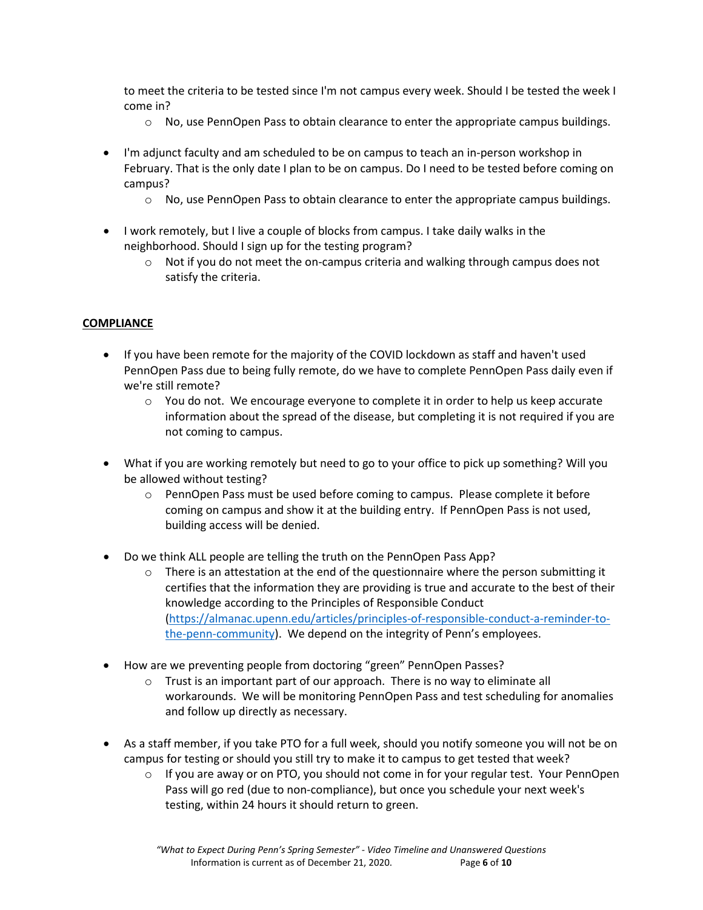to meet the criteria to be tested since I'm not campus every week. Should I be tested the week I come in?

- $\circ$  No, use PennOpen Pass to obtain clearance to enter the appropriate campus buildings.
- I'm adjunct faculty and am scheduled to be on campus to teach an in-person workshop in February. That is the only date I plan to be on campus. Do I need to be tested before coming on campus?
	- $\circ$  No, use PennOpen Pass to obtain clearance to enter the appropriate campus buildings.
- I work remotely, but I live a couple of blocks from campus. I take daily walks in the neighborhood. Should I sign up for the testing program?
	- $\circ$  Not if you do not meet the on-campus criteria and walking through campus does not satisfy the criteria.

#### **COMPLIANCE**

- If you have been remote for the majority of the COVID lockdown as staff and haven't used PennOpen Pass due to being fully remote, do we have to complete PennOpen Pass daily even if we're still remote?
	- $\circ$  You do not. We encourage everyone to complete it in order to help us keep accurate information about the spread of the disease, but completing it is not required if you are not coming to campus.
- What if you are working remotely but need to go to your office to pick up something? Will you be allowed without testing?
	- $\circ$  PennOpen Pass must be used before coming to campus. Please complete it before coming on campus and show it at the building entry. If PennOpen Pass is not used, building access will be denied.
- Do we think ALL people are telling the truth on the PennOpen Pass App?
	- $\circ$  There is an attestation at the end of the questionnaire where the person submitting it certifies that the information they are providing is true and accurate to the best of their knowledge according to the Principles of Responsible Conduct [\(https://almanac.upenn.edu/articles/principles-of-responsible-conduct-a-reminder-to](https://almanac.upenn.edu/articles/principles-of-responsible-conduct-a-reminder-to-the-penn-community)[the-penn-community\)](https://almanac.upenn.edu/articles/principles-of-responsible-conduct-a-reminder-to-the-penn-community). We depend on the integrity of Penn's employees.
- How are we preventing people from doctoring "green" PennOpen Passes?
	- o Trust is an important part of our approach. There is no way to eliminate all workarounds. We will be monitoring PennOpen Pass and test scheduling for anomalies and follow up directly as necessary.
- As a staff member, if you take PTO for a full week, should you notify someone you will not be on campus for testing or should you still try to make it to campus to get tested that week?
	- $\circ$  If you are away or on PTO, you should not come in for your regular test. Your PennOpen Pass will go red (due to non-compliance), but once you schedule your next week's testing, within 24 hours it should return to green.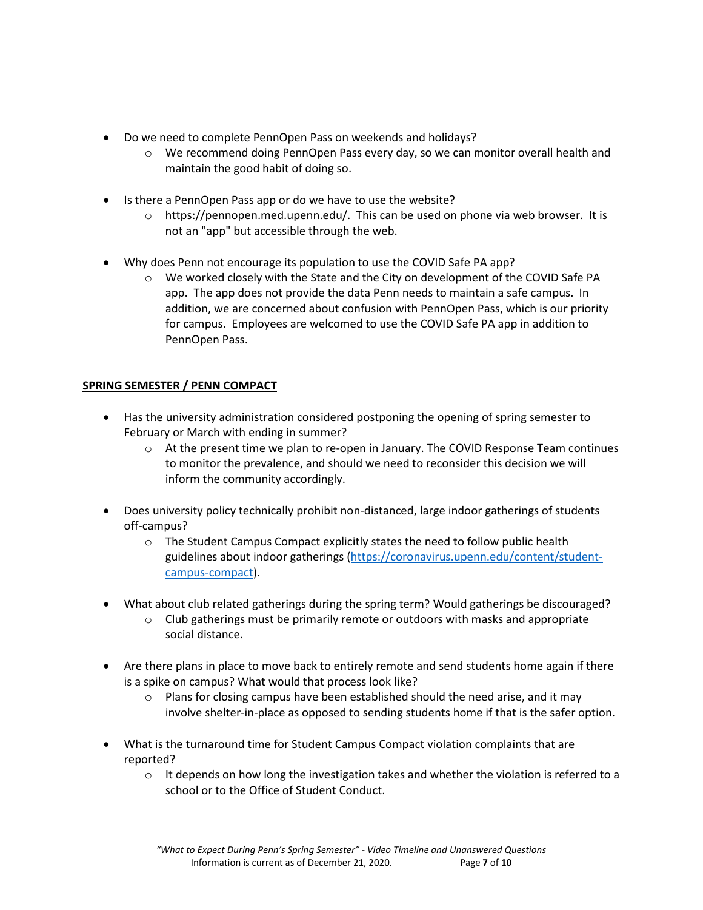- Do we need to complete PennOpen Pass on weekends and holidays?
	- $\circ$  We recommend doing PennOpen Pass every day, so we can monitor overall health and maintain the good habit of doing so.
- Is there a PennOpen Pass app or do we have to use the website?
	- $\circ$  https://pennopen.med.upenn.edu/. This can be used on phone via web browser. It is not an "app" but accessible through the web.
- Why does Penn not encourage its population to use the COVID Safe PA app?
	- We worked closely with the State and the City on development of the COVID Safe PA app. The app does not provide the data Penn needs to maintain a safe campus. In addition, we are concerned about confusion with PennOpen Pass, which is our priority for campus. Employees are welcomed to use the COVID Safe PA app in addition to PennOpen Pass.

# **SPRING SEMESTER / PENN COMPACT**

- Has the university administration considered postponing the opening of spring semester to February or March with ending in summer?
	- $\circ$  At the present time we plan to re-open in January. The COVID Response Team continues to monitor the prevalence, and should we need to reconsider this decision we will inform the community accordingly.
- Does university policy technically prohibit non-distanced, large indoor gatherings of students off-campus?
	- $\circ$  The Student Campus Compact explicitly states the need to follow public health guidelines about indoor gatherings [\(https://coronavirus.upenn.edu/content/student](https://coronavirus.upenn.edu/content/student-campus-compact)[campus-compact\)](https://coronavirus.upenn.edu/content/student-campus-compact).
- What about club related gatherings during the spring term? Would gatherings be discouraged?
	- $\circ$  Club gatherings must be primarily remote or outdoors with masks and appropriate social distance.
- Are there plans in place to move back to entirely remote and send students home again if there is a spike on campus? What would that process look like?
	- $\circ$  Plans for closing campus have been established should the need arise, and it may involve shelter-in-place as opposed to sending students home if that is the safer option.
- What is the turnaround time for Student Campus Compact violation complaints that are reported?
	- $\circ$  It depends on how long the investigation takes and whether the violation is referred to a school or to the Office of Student Conduct.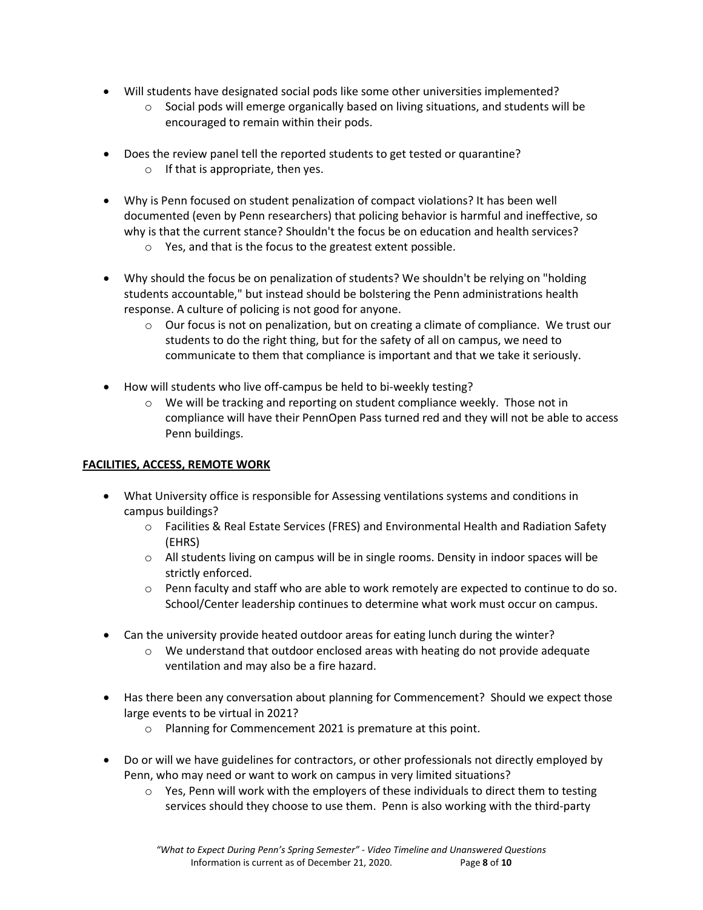- Will students have designated social pods like some other universities implemented?
	- $\circ$  Social pods will emerge organically based on living situations, and students will be encouraged to remain within their pods.
- Does the review panel tell the reported students to get tested or quarantine?  $\circ$  If that is appropriate, then yes.
- Why is Penn focused on student penalization of compact violations? It has been well documented (even by Penn researchers) that policing behavior is harmful and ineffective, so why is that the current stance? Shouldn't the focus be on education and health services?
	- o Yes, and that is the focus to the greatest extent possible.
- Why should the focus be on penalization of students? We shouldn't be relying on "holding students accountable," but instead should be bolstering the Penn administrations health response. A culture of policing is not good for anyone.
	- $\circ$  Our focus is not on penalization, but on creating a climate of compliance. We trust our students to do the right thing, but for the safety of all on campus, we need to communicate to them that compliance is important and that we take it seriously.
- How will students who live off-campus be held to bi-weekly testing?
	- $\circ$  We will be tracking and reporting on student compliance weekly. Those not in compliance will have their PennOpen Pass turned red and they will not be able to access Penn buildings.

# **FACILITIES, ACCESS, REMOTE WORK**

- What University office is responsible for Assessing ventilations systems and conditions in campus buildings?
	- o Facilities & Real Estate Services (FRES) and Environmental Health and Radiation Safety (EHRS)
	- $\circ$  All students living on campus will be in single rooms. Density in indoor spaces will be strictly enforced.
	- $\circ$  Penn faculty and staff who are able to work remotely are expected to continue to do so. School/Center leadership continues to determine what work must occur on campus.
- Can the university provide heated outdoor areas for eating lunch during the winter?
	- $\circ$  We understand that outdoor enclosed areas with heating do not provide adequate ventilation and may also be a fire hazard.
- Has there been any conversation about planning for Commencement? Should we expect those large events to be virtual in 2021?
	- o Planning for Commencement 2021 is premature at this point.
- Do or will we have guidelines for contractors, or other professionals not directly employed by Penn, who may need or want to work on campus in very limited situations?
	- $\circ$  Yes, Penn will work with the employers of these individuals to direct them to testing services should they choose to use them. Penn is also working with the third-party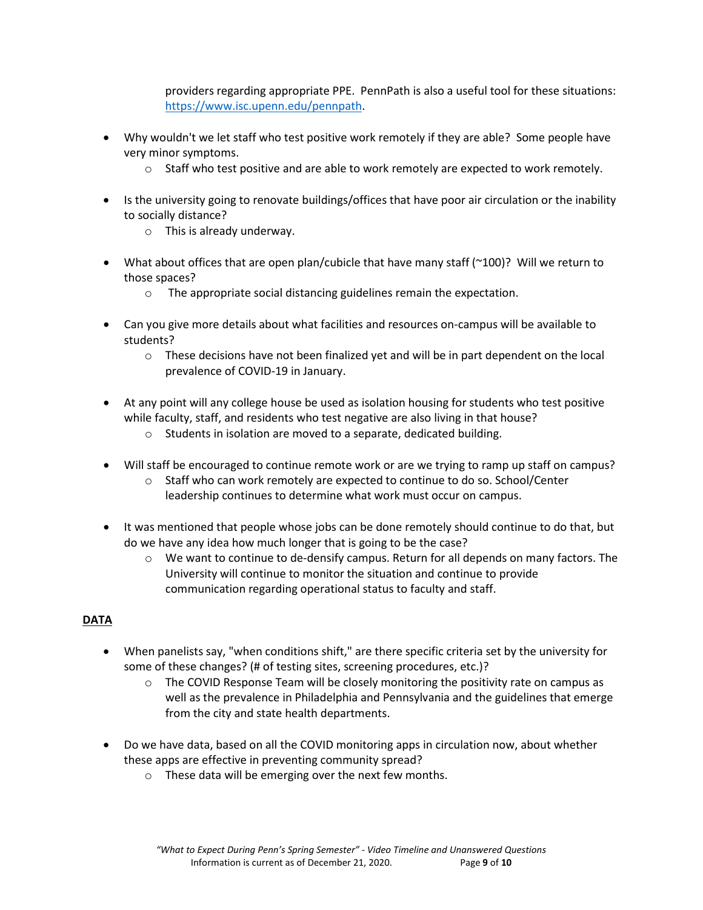providers regarding appropriate PPE. PennPath is also a useful tool for these situations: [https://www.isc.upenn.edu/pennpath.](https://www.isc.upenn.edu/pennpath)

- Why wouldn't we let staff who test positive work remotely if they are able? Some people have very minor symptoms.
	- $\circ$  Staff who test positive and are able to work remotely are expected to work remotely.
- Is the university going to renovate buildings/offices that have poor air circulation or the inability to socially distance?
	- o This is already underway.
- What about offices that are open plan/cubicle that have many staff ( $\sim$ 100)? Will we return to those spaces?
	- o The appropriate social distancing guidelines remain the expectation.
- Can you give more details about what facilities and resources on-campus will be available to students?
	- $\circ$  These decisions have not been finalized yet and will be in part dependent on the local prevalence of COVID-19 in January.
- At any point will any college house be used as isolation housing for students who test positive while faculty, staff, and residents who test negative are also living in that house?
	- o Students in isolation are moved to a separate, dedicated building.
- Will staff be encouraged to continue remote work or are we trying to ramp up staff on campus?
	- o Staff who can work remotely are expected to continue to do so. School/Center leadership continues to determine what work must occur on campus.
- It was mentioned that people whose jobs can be done remotely should continue to do that, but do we have any idea how much longer that is going to be the case?
	- $\circ$  We want to continue to de-densify campus. Return for all depends on many factors. The University will continue to monitor the situation and continue to provide communication regarding operational status to faculty and staff.

# **DATA**

- When panelists say, "when conditions shift," are there specific criteria set by the university for some of these changes? (# of testing sites, screening procedures, etc.)?
	- $\circ$  The COVID Response Team will be closely monitoring the positivity rate on campus as well as the prevalence in Philadelphia and Pennsylvania and the guidelines that emerge from the city and state health departments.
- Do we have data, based on all the COVID monitoring apps in circulation now, about whether these apps are effective in preventing community spread?
	- o These data will be emerging over the next few months.